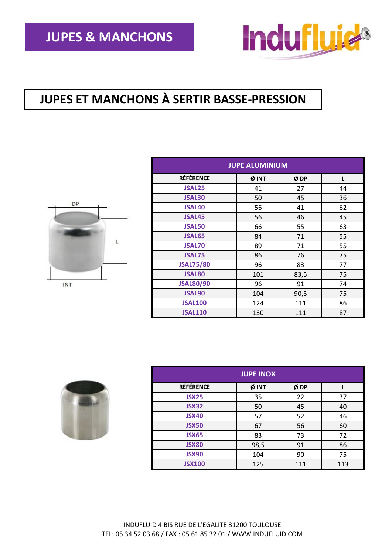

## **JUPES ET MANCHONS À SERTIR BASSE-PRESSION**



| <b>JUPE ALUMINIUM</b> |       |      |    |
|-----------------------|-------|------|----|
| <b>RÉFÉRENCE</b>      | Ø INT | ØDP  | L  |
| <b>JSAL25</b>         | 41    | 27   | 44 |
| <b>JSAL30</b>         | 50    | 45   | 36 |
| <b>JSAL40</b>         | 56    | 41   | 62 |
| <b>JSAL45</b>         | 56    | 46   | 45 |
| <b>JSAL50</b>         | 66    | 55   | 63 |
| <b>JSAL65</b>         | 84    | 71   | 55 |
| <b>JSAL70</b>         | 89    | 71   | 55 |
| <b>JSAL75</b>         | 86    | 76   | 75 |
| <b>JSAL75/80</b>      | 96    | 83   | 77 |
| <b>JSAL80</b>         | 101   | 83,5 | 75 |
| <b>JSAL80/90</b>      | 96    | 91   | 74 |
| <b>JSAL90</b>         | 104   | 90,5 | 75 |
| <b>JSAL100</b>        | 124   | 111  | 86 |
| <b>JSAL110</b>        | 130   | 111  | 87 |



| <b>JUPE INOX</b> |       |     |     |
|------------------|-------|-----|-----|
| <b>RÉFÉRENCE</b> | Ø INT | ØDP |     |
| <b>JSX25</b>     | 35    | 22  | 37  |
| JSX32            | 50    | 45  | 40  |
| <b>JSX40</b>     | 57    | 52  | 46  |
| <b>JSX50</b>     | 67    | 56  | 60  |
| <b>JSX65</b>     | 83    | 73  | 72  |
| <b>JSX80</b>     | 98,5  | 91  | 86  |
| <b>JSX90</b>     | 104   | 90  | 75  |
| <b>JSX100</b>    | 125   | 111 | 113 |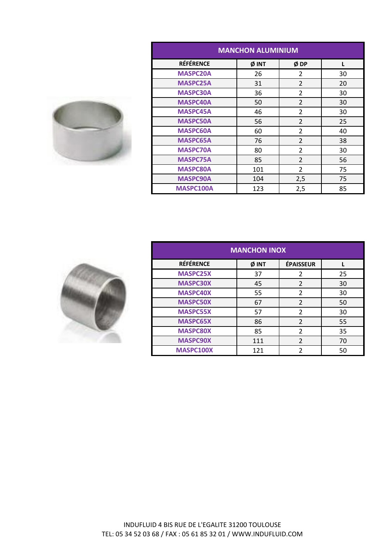| <b>MANCHON ALUMINIUM</b> |       |                          |    |
|--------------------------|-------|--------------------------|----|
| <b>RÉFÉRENCE</b>         | Ø INT | ØDP                      |    |
| <b>MASPC20A</b>          | 26    | $\mathfrak z$            | 30 |
| <b>MASPC25A</b>          | 31    | $\overline{2}$           | 20 |
| <b>MASPC30A</b>          | 36    | $\overline{2}$           | 30 |
| <b>MASPC40A</b>          | 50    | $\overline{2}$           | 30 |
| <b>MASPC45A</b>          | 46    | $\overline{2}$           | 30 |
| <b>MASPC50A</b>          | 56    | $\overline{\phantom{a}}$ | 25 |
| <b>MASPC60A</b>          | 60    | $\overline{2}$           | 40 |
| <b>MASPC65A</b>          | 76    | $\overline{2}$           | 38 |
| <b>MASPC70A</b>          | 80    | $\mathfrak{p}$           | 30 |
| <b>MASPC75A</b>          | 85    | $\overline{2}$           | 56 |
| <b>MASPC80A</b>          | 101   | $\overline{2}$           | 75 |
| <b>MASPC90A</b>          | 104   | 2,5                      | 75 |
| <b>MASPC100A</b>         | 123   | 2,5                      | 85 |



| <b>MANCHON INOX</b> |       |                  |    |
|---------------------|-------|------------------|----|
| <b>RÉFÉRENCE</b>    | Ø INT | <b>ÉPAISSEUR</b> |    |
| <b>MASPC25X</b>     | 37    | 2                | 25 |
| <b>MASPC30X</b>     | 45    | 2                | 30 |
| <b>MASPC40X</b>     | 55    | $\overline{2}$   | 30 |
| <b>MASPC50X</b>     | 67    | $\overline{2}$   | 50 |
| <b>MASPC55X</b>     | 57    | $\overline{2}$   | 30 |
| <b>MASPC65X</b>     | 86    | $\overline{2}$   | 55 |
| <b>MASPC80X</b>     | 85    | $\overline{2}$   | 35 |
| <b>MASPC90X</b>     | 111   | $\overline{2}$   | 70 |
| MASPC100X           | 121   | ว                | 50 |